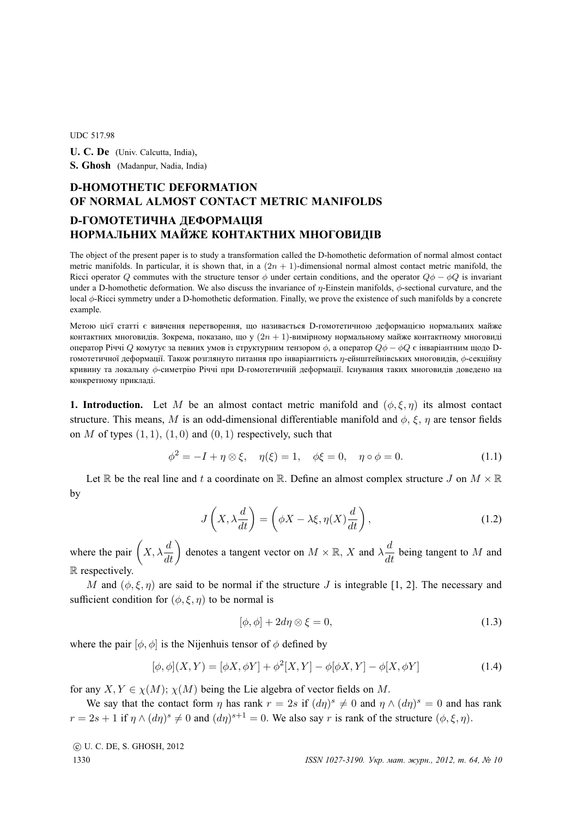## UDC 517.98

**U. C. De** (Univ. Calcutta, India), **S. Ghosh** (Madanpur, Nadia, India)

## **D-HOMOTHETIC DEFORMATION OF NORMAL ALMOST CONTACT METRIC MANIFOLDS D-ГОМОТЕТИЧНА ДЕФОРМАЦIЯ НОРМАЛЬНИХ МАЙЖЕ КОНТАКТНИХ МНОГОВИДIВ**

The object of the present paper is to study a transformation called the D-homothetic deformation of normal almost contact metric manifolds. In particular, it is shown that, in a  $(2n + 1)$ -dimensional normal almost contact metric manifold, the Ricci operator Q commutes with the structure tensor  $\phi$  under certain conditions, and the operator  $Q\phi - \phi Q$  is invariant under a D-homothetic deformation. We also discuss the invariance of  $\eta$ -Einstein manifolds,  $\phi$ -sectional curvature, and the local φ-Ricci symmetry under a D-homothetic deformation. Finally, we prove the existence of such manifolds by a concrete example.

Метою цiєї статтi є вивчення перетворення, що називається D-гомотетичною деформацiєю нормальних майже контактних многовидів. Зокрема, показано, що у  $(2n + 1)$ -вимірному нормальному майже контактному многовиді оператор Річчі Q комутує за певних умов із структурним тензором  $\phi$ , а оператор  $Q\phi - \phi Q$  є інваріантним щодо Dгомотетичної деформацiї. Також розглянуто питання про iнварiантнiсть η-ейнштейнiвських многовидiв, φ-секцiйну кривину та локальну φ-симетрiю Рiччi при D-гомотетичнiй деформацiї. Iснування таких многовидiв доведено на конкретному прикладi.

**1. Introduction.** Let M be an almost contact metric manifold and  $(\phi, \xi, \eta)$  its almost contact structure. This means, M is an odd-dimensional differentiable manifold and  $\phi$ ,  $\xi$ ,  $\eta$  are tensor fields on M of types  $(1, 1)$ ,  $(1, 0)$  and  $(0, 1)$  respectively, such that

$$
\phi^2 = -I + \eta \otimes \xi, \quad \eta(\xi) = 1, \quad \phi\xi = 0, \quad \eta \circ \phi = 0. \tag{1.1}
$$

Let R be the real line and t a coordinate on R. Define an almost complex structure J on  $M \times \mathbb{R}$ by

$$
J\left(X, \lambda \frac{d}{dt}\right) = \left(\phi X - \lambda \xi, \eta(X) \frac{d}{dt}\right),\tag{1.2}
$$

where the pair  $(X, \lambda \frac{d}{dt})$  denotes a tangent vector on  $M \times \mathbb{R}$ , X and  $\lambda \frac{d}{dt}$  being tangent to M and R respectively.

M and  $(\phi, \xi, \eta)$  are said to be normal if the structure J is integrable [1, 2]. The necessary and sufficient condition for  $(\phi, \xi, \eta)$  to be normal is

$$
[\phi, \phi] + 2d\eta \otimes \xi = 0,\tag{1.3}
$$

where the pair  $[\phi, \phi]$  is the Nijenhuis tensor of  $\phi$  defined by

$$
[\phi, \phi](X, Y) = [\phi X, \phi Y] + \phi^{2}[X, Y] - \phi[\phi X, Y] - \phi[X, \phi Y]
$$
\n(1.4)

for any  $X, Y \in \chi(M)$ ;  $\chi(M)$  being the Lie algebra of vector fields on M.

We say that the contact form  $\eta$  has rank  $r = 2s$  if  $(d\eta)^s \neq 0$  and  $\eta \wedge (d\eta)^s = 0$  and has rank  $r = 2s + 1$  if  $\eta \wedge (d\eta)^s \neq 0$  and  $(d\eta)^{s+1} = 0$ . We also say r is rank of the structure  $(\phi, \xi, \eta)$ .

c U. C. DE, S. GHOSH, 2012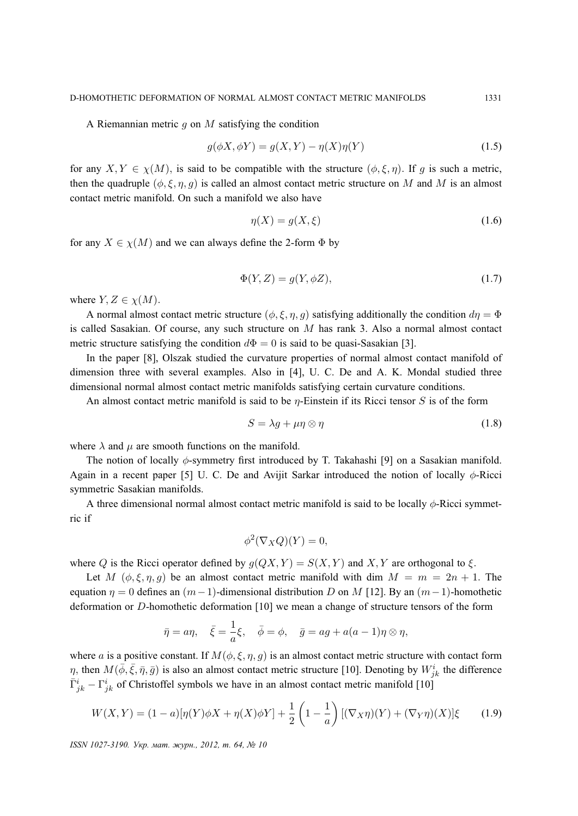A Riemannian metric q on  $M$  satisfying the condition

$$
g(\phi X, \phi Y) = g(X, Y) - \eta(X)\eta(Y)
$$
\n(1.5)

for any  $X, Y \in \chi(M)$ , is said to be compatible with the structure  $(\phi, \xi, \eta)$ . If g is such a metric, then the quadruple  $(\phi, \xi, \eta, g)$  is called an almost contact metric structure on M and M is an almost contact metric manifold. On such a manifold we also have

$$
\eta(X) = g(X, \xi) \tag{1.6}
$$

for any  $X \in \chi(M)$  and we can always define the 2-form  $\Phi$  by

$$
\Phi(Y, Z) = g(Y, \phi Z),\tag{1.7}
$$

where  $Y, Z \in \chi(M)$ .

A normal almost contact metric structure  $(\phi, \xi, \eta, q)$  satisfying additionally the condition  $d\eta = \Phi$ is called Sasakian. Of course, any such structure on  $M$  has rank 3. Also a normal almost contact metric structure satisfying the condition  $d\Phi = 0$  is said to be quasi-Sasakian [3].

In the paper [8], Olszak studied the curvature properties of normal almost contact manifold of dimension three with several examples. Also in [4], U. C. De and A. K. Mondal studied three dimensional normal almost contact metric manifolds satisfying certain curvature conditions.

An almost contact metric manifold is said to be  $\eta$ -Einstein if its Ricci tensor S is of the form

$$
S = \lambda g + \mu \eta \otimes \eta \tag{1.8}
$$

where  $\lambda$  and  $\mu$  are smooth functions on the manifold.

The notion of locally  $\phi$ -symmetry first introduced by T. Takahashi [9] on a Sasakian manifold. Again in a recent paper [5] U. C. De and Avijit Sarkar introduced the notion of locally  $\phi$ -Ricci symmetric Sasakian manifolds.

A three dimensional normal almost contact metric manifold is said to be locally  $\phi$ -Ricci symmetric if

$$
\phi^2(\nabla_X Q)(Y) = 0,
$$

where Q is the Ricci operator defined by  $g(QX, Y) = S(X, Y)$  and X, Y are orthogonal to  $\xi$ .

Let M  $(\phi, \xi, \eta, g)$  be an almost contact metric manifold with dim  $M = m = 2n + 1$ . The equation  $\eta = 0$  defines an  $(m-1)$ -dimensional distribution D on M [12]. By an  $(m-1)$ -homothetic deformation or D-homothetic deformation [10] we mean a change of structure tensors of the form

$$
\bar{\eta} = a\eta, \quad \bar{\xi} = \frac{1}{a}\xi, \quad \bar{\phi} = \phi, \quad \bar{g} = ag + a(a-1)\eta \otimes \eta,
$$

where a is a positive constant. If  $M(\phi, \xi, \eta, q)$  is an almost contact metric structure with contact form  $\eta$ , then  $M(\bar{\phi}, \bar{\xi}, \bar{\eta}, \bar{g})$  is also an almost contact metric structure [10]. Denoting by  $W^i_{jk}$  the difference  $\bar{\Gamma}^i_{jk} - \Gamma^i_{jk}$  of Christoffel symbols we have in an almost contact metric manifold [10]

$$
W(X,Y) = (1-a)[\eta(Y)\phi X + \eta(X)\phi Y] + \frac{1}{2}\left(1 - \frac{1}{a}\right)[(\nabla_X \eta)(Y) + (\nabla_Y \eta)(X)]\xi \tag{1.9}
$$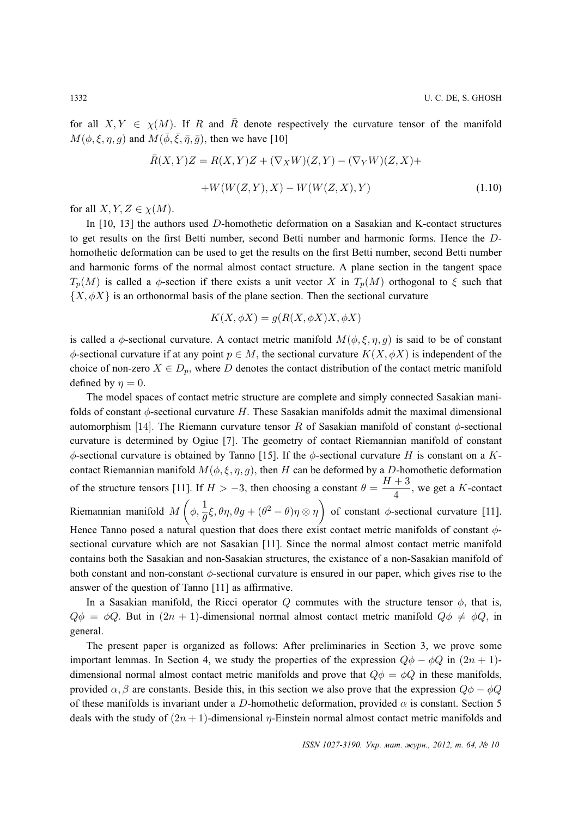for all  $X, Y \in \chi(M)$ . If R and  $\overline{R}$  denote respectively the curvature tensor of the manifold  $M(\phi, \xi, \eta, g)$  and  $M(\bar{\phi}, \bar{\xi}, \bar{\eta}, \bar{g})$ , then we have [10]

$$
\bar{R}(X,Y)Z = R(X,Y)Z + (\nabla_X W)(Z,Y) - (\nabla_Y W)(Z,X) ++ W(W(Z,Y),X) - W(W(Z,X),Y)
$$
\n(1.10)

for all  $X, Y, Z \in \chi(M)$ .

In [10, 13] the authors used D-homothetic deformation on a Sasakian and K-contact structures to get results on the first Betti number, second Betti number and harmonic forms. Hence the Dhomothetic deformation can be used to get the results on the first Betti number, second Betti number and harmonic forms of the normal almost contact structure. A plane section in the tangent space  $T_p(M)$  is called a  $\phi$ -section if there exists a unit vector X in  $T_p(M)$  orthogonal to  $\xi$  such that  $\{X, \phi X\}$  is an orthonormal basis of the plane section. Then the sectional curvature

$$
K(X, \phi X) = g(R(X, \phi X)X, \phi X)
$$

is called a  $\phi$ -sectional curvature. A contact metric manifold  $M(\phi, \xi, \eta, q)$  is said to be of constant  $\phi$ -sectional curvature if at any point  $p \in M$ , the sectional curvature  $K(X, \phi X)$  is independent of the choice of non-zero  $X \in D_p$ , where D denotes the contact distribution of the contact metric manifold defined by  $n = 0$ .

The model spaces of contact metric structure are complete and simply connected Sasakian manifolds of constant  $\phi$ -sectional curvature H. These Sasakian manifolds admit the maximal dimensional automorphism [14]. The Riemann curvature tensor R of Sasakian manifold of constant  $\phi$ -sectional curvature is determined by Ogiue [7]. The geometry of contact Riemannian manifold of constant  $\phi$ -sectional curvature is obtained by Tanno [15]. If the  $\phi$ -sectional curvature H is constant on a Kcontact Riemannian manifold  $M(\phi, \xi, \eta, g)$ , then H can be deformed by a D-homothetic deformation of the structure tensors [11]. If  $H > -3$ , then choosing a constant  $\theta = \frac{H+3}{4}$  $\frac{1}{4}$ , we get a K-contact Riemannian manifold  $M\left(\phi, \frac{1}{\theta}\xi, \theta\eta, \theta g + (\theta^2 - \theta)\eta \otimes \eta\right)$  of constant  $\phi$ -sectional curvature [11]. Hence Tanno posed a natural question that does there exist contact metric manifolds of constant  $\phi$ sectional curvature which are not Sasakian [11]. Since the normal almost contact metric manifold contains both the Sasakian and non-Sasakian structures, the existance of a non-Sasakian manifold of both constant and non-constant φ-sectional curvature is ensured in our paper, which gives rise to the answer of the question of Tanno [11] as affirmative.

In a Sasakian manifold, the Ricci operator Q commutes with the structure tensor  $\phi$ , that is,  $Q\phi = \phi Q$ . But in  $(2n + 1)$ -dimensional normal almost contact metric manifold  $Q\phi \neq \phi Q$ , in general.

The present paper is organized as follows: After preliminaries in Section 3, we prove some important lemmas. In Section 4, we study the properties of the expression  $Q\phi - \phi Q$  in  $(2n + 1)$ dimensional normal almost contact metric manifolds and prove that  $Q\phi = \phi Q$  in these manifolds, provided  $\alpha$ ,  $\beta$  are constants. Beside this, in this section we also prove that the expression  $Q\phi - \phi Q$ of these manifolds is invariant under a D-homothetic deformation, provided  $\alpha$  is constant. Section 5 deals with the study of  $(2n + 1)$ -dimensional *η*-Einstein normal almost contact metric manifolds and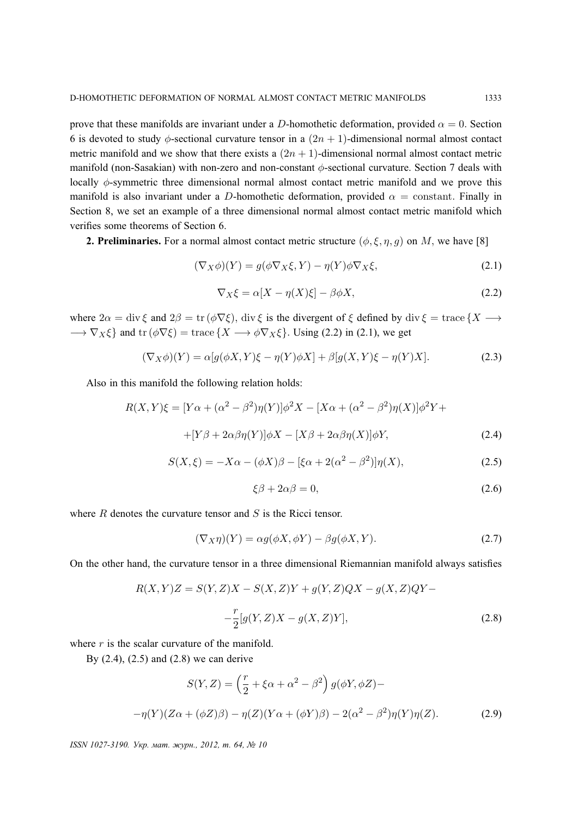prove that these manifolds are invariant under a D-homothetic deformation, provided  $\alpha = 0$ . Section 6 is devoted to study  $\phi$ -sectional curvature tensor in a  $(2n + 1)$ -dimensional normal almost contact metric manifold and we show that there exists a  $(2n + 1)$ -dimensional normal almost contact metric manifold (non-Sasakian) with non-zero and non-constant φ-sectional curvature. Section 7 deals with locally  $\phi$ -symmetric three dimensional normal almost contact metric manifold and we prove this manifold is also invariant under a D-homothetic deformation, provided  $\alpha$  = constant. Finally in Section 8, we set an example of a three dimensional normal almost contact metric manifold which verifies some theorems of Section 6.

**2. Preliminaries.** For a normal almost contact metric structure  $(\phi, \xi, \eta, q)$  on M, we have [8]

$$
(\nabla_X \phi)(Y) = g(\phi \nabla_X \xi, Y) - \eta(Y)\phi \nabla_X \xi,
$$
\n(2.1)

$$
\nabla_X \xi = \alpha [X - \eta(X)\xi] - \beta \phi X,\tag{2.2}
$$

where  $2\alpha = \text{div}\xi$  and  $2\beta = \text{tr}(\phi\nabla \xi)$ ,  $\text{div}\xi$  is the divergent of  $\xi$  defined by  $\text{div}\xi = \text{trace}\{X \rightarrow \xi\}$  $\rightarrow \nabla_X \xi$  and tr  $(\phi \nabla \xi)$  = trace  $\{X \rightarrow \phi \nabla_X \xi\}$ . Using (2.2) in (2.1), we get

$$
(\nabla_X \phi)(Y) = \alpha[g(\phi X, Y)\xi - \eta(Y)\phi X] + \beta[g(X, Y)\xi - \eta(Y)X].
$$
\n(2.3)

Also in this manifold the following relation holds:

$$
R(X,Y)\xi = [Y\alpha + (\alpha^2 - \beta^2)\eta(Y)]\phi^2 X - [X\alpha + (\alpha^2 - \beta^2)\eta(X)]\phi^2 Y +
$$
  
 
$$
+ [Y\beta + 2\alpha\beta\eta(Y)]\phi X - [X\beta + 2\alpha\beta\eta(X)]\phi Y, \tag{2.4}
$$

$$
S(X,\xi) = -X\alpha - (\phi X)\beta - [\xi\alpha + 2(\alpha^2 - \beta^2)]\eta(X),
$$
\n(2.5)

$$
\xi \beta + 2\alpha \beta = 0,\tag{2.6}
$$

where  $R$  denotes the curvature tensor and  $S$  is the Ricci tensor.

$$
(\nabla_X \eta)(Y) = \alpha g(\phi X, \phi Y) - \beta g(\phi X, Y). \tag{2.7}
$$

On the other hand, the curvature tensor in a three dimensional Riemannian manifold always satisfies

$$
R(X,Y)Z = S(Y,Z)X - S(X,Z)Y + g(Y,Z)QX - g(X,Z)QY -
$$
  

$$
-\frac{r}{2}[g(Y,Z)X - g(X,Z)Y],
$$
 (2.8)

where  $r$  is the scalar curvature of the manifold.

By (2.4), (2.5) and (2.8) we can derive

$$
S(Y,Z) = \left(\frac{r}{2} + \xi\alpha + \alpha^2 - \beta^2\right)g(\phi Y, \phi Z) -
$$

$$
-\eta(Y)(Z\alpha + (\phi Z)\beta) - \eta(Z)(Y\alpha + (\phi Y)\beta) - 2(\alpha^2 - \beta^2)\eta(Y)\eta(Z). \tag{2.9}
$$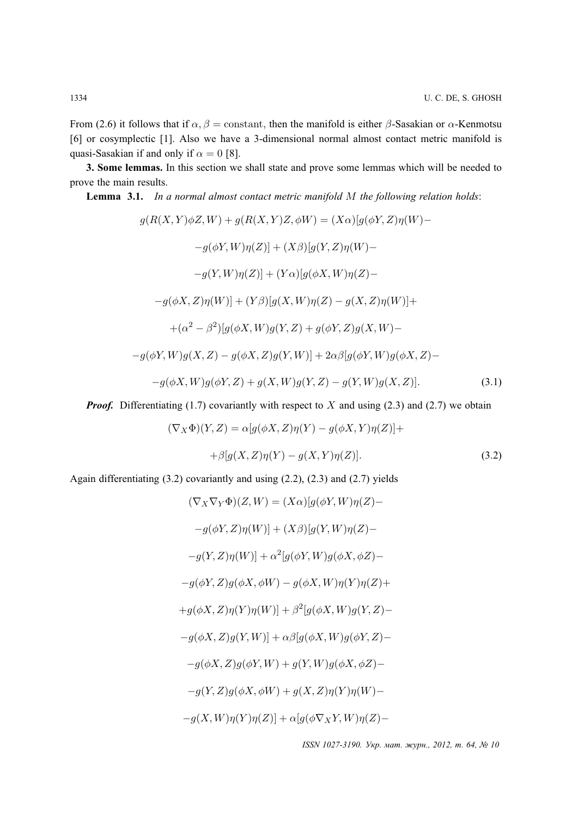From (2.6) it follows that if  $\alpha$ ,  $\beta$  = constant, then the manifold is either  $\beta$ -Sasakian or  $\alpha$ -Kenmotsu [6] or cosymplectic [1]. Also we have a 3-dimensional normal almost contact metric manifold is quasi-Sasakian if and only if  $\alpha = 0$  [8].

**3. Some lemmas.** In this section we shall state and prove some lemmas which will be needed to prove the main results.

**Lemma 3.1.** *In a normal almost contact metric manifold* M *the following relation holds*:

$$
g(R(X, Y)\phi Z, W) + g(R(X, Y)Z, \phi W) = (X\alpha)[g(\phi Y, Z)\eta(W) --g(\phi Y, W)\eta(Z)] + (X\beta)[g(Y, Z)\eta(W) --g(Y, W)\eta(Z)] + (Y\alpha)[g(\phi X, W)\eta(Z) --g(\phi X, Z)\eta(W)] + (Y\beta)[g(X, W)\eta(Z) - g(X, Z)\eta(W)] ++(\alpha^2 - \beta^2)[g(\phi X, W)g(Y, Z) + g(\phi Y, Z)g(X, W) --g(\phi Y, W)g(X, Z) - g(\phi X, Z)g(Y, W)] + 2\alpha\beta[g(\phi Y, W)g(\phi X, Z) --g(\phi X, W)g(\phi Y, Z) + g(X, W)g(Y, Z) - g(Y, W)g(X, Z)].
$$
\n(3.1)

*Proof.* Differentiating (1.7) covariantly with respect to X and using (2.3) and (2.7) we obtain

$$
(\nabla_X \Phi)(Y, Z) = \alpha[g(\phi X, Z)\eta(Y) - g(\phi X, Y)\eta(Z)] +
$$
  
 
$$
+ \beta[g(X, Z)\eta(Y) - g(X, Y)\eta(Z)].
$$
 (3.2)

Again differentiating (3.2) covariantly and using (2.2), (2.3) and (2.7) yields

$$
(\nabla_X \nabla_Y \Phi)(Z, W) = (X\alpha)[g(\phi Y, W)\eta(Z) -
$$
  
\n
$$
-g(\phi Y, Z)\eta(W)] + (X\beta)[g(Y, W)\eta(Z) -
$$
  
\n
$$
-g(Y, Z)\eta(W)] + \alpha^2[g(\phi Y, W)g(\phi X, \phi Z) -
$$
  
\n
$$
-g(\phi Y, Z)g(\phi X, \phi W) - g(\phi X, W)\eta(Y)\eta(Z) +
$$
  
\n
$$
+g(\phi X, Z)\eta(Y)\eta(W)] + \beta^2[g(\phi X, W)g(Y, Z) -
$$
  
\n
$$
-g(\phi X, Z)g(Y, W)] + \alpha\beta[g(\phi X, W)g(\phi Y, Z) -
$$
  
\n
$$
-g(\phi X, Z)g(\phi Y, W) + g(Y, W)g(\phi X, \phi Z) -
$$
  
\n
$$
-g(Y, Z)g(\phi X, \phi W) + g(X, Z)\eta(Y)\eta(W) -
$$
  
\n
$$
-g(X, W)\eta(Y)\eta(Z)] + \alpha[g(\phi \nabla_X Y, W)\eta(Z) -
$$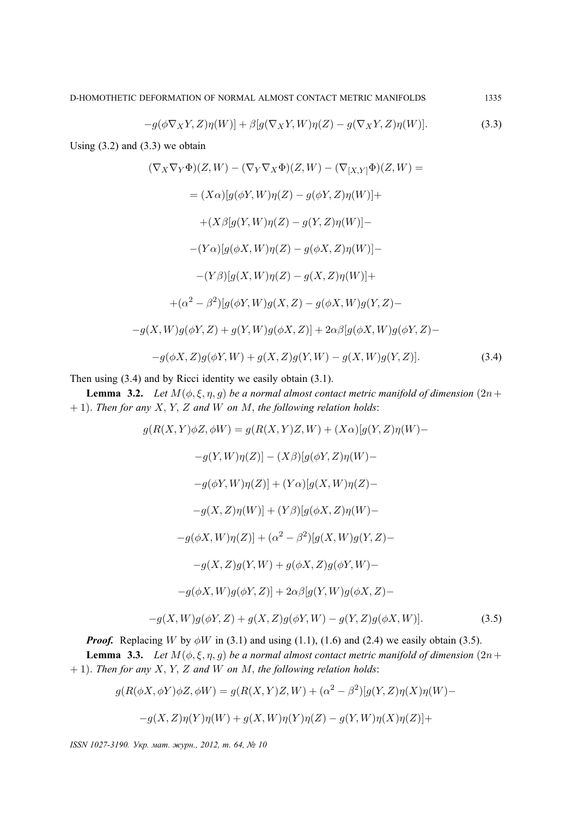$$
-g(\phi\nabla_X Y,Z)\eta(W)] + \beta[g(\nabla_X Y,W)\eta(Z) - g(\nabla_X Y,Z)\eta(W)].
$$
\n(3.3)

Using  $(3.2)$  and  $(3.3)$  we obtain

$$
(\nabla_X \nabla_Y \Phi)(Z, W) - (\nabla_Y \nabla_X \Phi)(Z, W) - (\nabla_{[X,Y]} \Phi)(Z, W) =
$$
  
\n
$$
= (X\alpha)[g(\phi Y, W)\eta(Z) - g(\phi Y, Z)\eta(W)] +
$$
  
\n
$$
+ (X\beta[g(Y, W)\eta(Z) - g(Y, Z)\eta(W)) -
$$
  
\n
$$
- (Y\alpha)[g(\phi X, W)\eta(Z) - g(\phi X, Z)\eta(W)] +
$$
  
\n
$$
- (Y\beta)[g(X, W)\eta(Z) - g(X, Z)\eta(W)] +
$$
  
\n
$$
+ (\alpha^2 - \beta^2)[g(\phi Y, W)g(X, Z) - g(\phi X, W)g(Y, Z) -
$$
  
\n
$$
-g(X, W)g(\phi Y, Z) + g(Y, W)g(\phi X, Z)] + 2\alpha\beta[g(\phi X, W)g(\phi Y, Z) -
$$
  
\n
$$
-g(\phi X, Z)g(\phi Y, W) + g(X, Z)g(Y, W) - g(X, W)g(Y, Z)].
$$
\n(3.4)

Then using (3.4) and by Ricci identity we easily obtain (3.1).

**Lemma 3.2.** *Let*  $M(\phi, \xi, \eta, g)$  *be a normal almost contact metric manifold of dimension*  $(2n +$ + 1). *Then for any* X, Y, Z *and* W *on* M, *the following relation holds*:

$$
g(R(X, Y)\phi Z, \phi W) = g(R(X, Y)Z, W) + (X\alpha)[g(Y, Z)\eta(W) -
$$
  
\n
$$
-g(Y, W)\eta(Z)] - (X\beta)[g(\phi Y, Z)\eta(W) -
$$
  
\n
$$
-g(\phi Y, W)\eta(Z)] + (Y\alpha)[g(X, W)\eta(Z) -
$$
  
\n
$$
-g(X, Z)\eta(W)] + (Y\beta)[g(\phi X, Z)\eta(W) -
$$
  
\n
$$
-g(\phi X, W)\eta(Z)] + (\alpha^2 - \beta^2)[g(X, W)g(Y, Z) -
$$
  
\n
$$
-g(X, Z)g(Y, W) + g(\phi X, Z)g(\phi Y, W) -
$$
  
\n
$$
-g(\phi X, W)g(\phi Y, Z)] + 2\alpha\beta[g(Y, W)g(\phi X, Z) -
$$
  
\n
$$
-g(X, W)g(\phi Y, Z) + g(X, Z)g(\phi Y, W) - g(Y, Z)g(\phi X, W)].
$$
\n(3.5)

*Proof.* Replacing W by  $\phi W$  in (3.1) and using (1.1), (1.6) and (2.4) we easily obtain (3.5).

**Lemma 3.3.** *Let*  $M(\phi, \xi, \eta, g)$  *be a normal almost contact metric manifold of dimension*  $(2n +$ + 1). *Then for any* X, Y, Z *and* W *on* M, *the following relation holds*:

$$
g(R(\phi X, \phi Y)\phi Z, \phi W) = g(R(X, Y)Z, W) + (\alpha^2 - \beta^2)[g(Y, Z)\eta(X)\eta(W) -
$$
  

$$
-g(X, Z)\eta(Y)\eta(W) + g(X, W)\eta(Y)\eta(Z) - g(Y, W)\eta(X)\eta(Z)] +
$$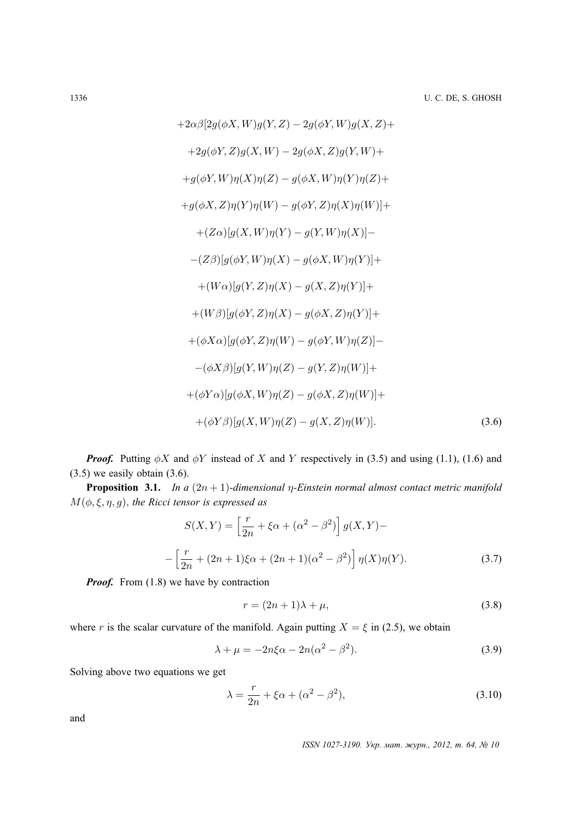+2
$$
\alpha\beta
$$
[2 $g(\phi X, W)g(Y, Z) - 2g(\phi Y, W)g(X, Z)$ +  
\n+2 $g(\phi Y, Z)g(X, W) - 2g(\phi X, Z)g(Y, W)$ +  
\n+ $g(\phi Y, W)\eta(X)\eta(Z) - g(\phi X, W)\eta(Y)\eta(Z)$ +  
\n+ $g(\phi X, Z)\eta(Y)\eta(W) - g(\phi Y, Z)\eta(X)\eta(W)$ ]+\n+ $(Z\alpha)$ [ $g(X, W)\eta(Y) - g(Y, W)\eta(X)$ ]-  
\n- $(Z\beta)$ [ $g(\phi Y, W)\eta(X) - g(\phi X, W)\eta(Y)$ ]+\n+ $(W\alpha)$ [ $g(Y, Z)\eta(X) - g(X, Z)\eta(Y)$ ]+\n+ $(W\beta)$ [ $g(\phi Y, Z)\eta(X) - g(\phi X, Z)\eta(Y)$ ]+\n- $(\phi X\alpha)$ [ $g(\phi Y, Z)\eta(W) - g(\phi Y, W)\eta(Z)$ ]-  
\n- $(\phi X\beta)$ [ $g(Y, W)\eta(Z) - g(Y, Z)\eta(W)$ ]+\n+ $(\phi Y\alpha)$ [ $g(\phi X, W)\eta(Z) - g(\phi X, Z)\eta(W)$ ]+\n+ $(\phi Y\beta)$ [ $g(X, W)\eta(Z) - g(X, Z)\eta(W)$ ]. (3.6)

*Proof.* Putting  $\phi X$  and  $\phi Y$  instead of X and Y respectively in (3.5) and using (1.1), (1.6) and  $(3.5)$  we easily obtain  $(3.6)$ .

**Proposition 3.1.** *In a*  $(2n + 1)$ *-dimensional*  $\eta$ *-Einstein normal almost contact metric manifold* M(φ, ξ, η, g), *the Ricci tensor is expressed as*

$$
S(X,Y) = \left[\frac{r}{2n} + \xi \alpha + (\alpha^2 - \beta^2)\right] g(X,Y) -
$$

$$
- \left[\frac{r}{2n} + (2n+1)\xi \alpha + (2n+1)(\alpha^2 - \beta^2)\right] \eta(X)\eta(Y).
$$
(3.7)

*Proof.* From (1.8) we have by contraction

$$
r = (2n+1)\lambda + \mu,\tag{3.8}
$$

where r is the scalar curvature of the manifold. Again putting  $X = \xi$  in (2.5), we obtain

$$
\lambda + \mu = -2n\xi\alpha - 2n(\alpha^2 - \beta^2). \tag{3.9}
$$

Solving above two equations we get

$$
\lambda = \frac{r}{2n} + \xi \alpha + (\alpha^2 - \beta^2),\tag{3.10}
$$

and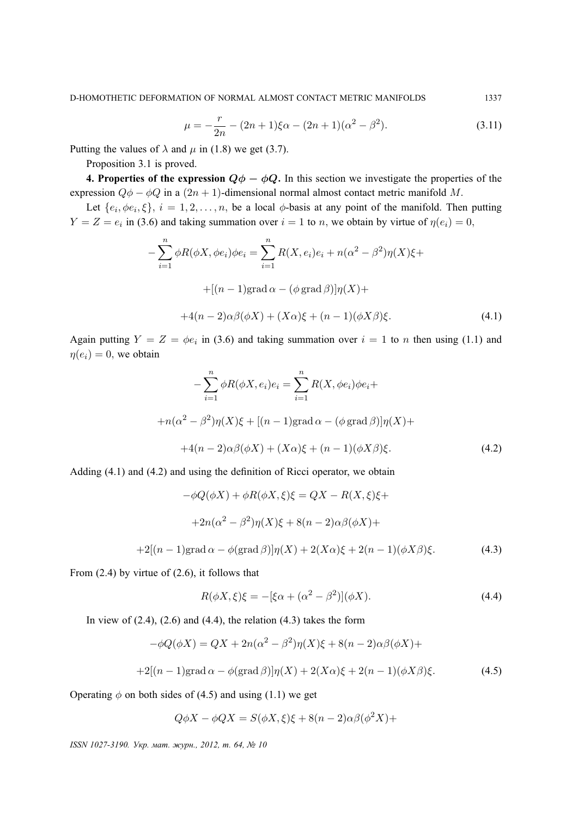$$
\mu = -\frac{r}{2n} - (2n+1)\xi\alpha - (2n+1)(\alpha^2 - \beta^2). \tag{3.11}
$$

Putting the values of  $\lambda$  and  $\mu$  in (1.8) we get (3.7).

Proposition 3.1 is proved.

**4. Properties of the expression**  $Q\phi - \phi Q$ . In this section we investigate the properties of the expression  $Q\phi - \phi Q$  in a  $(2n + 1)$ -dimensional normal almost contact metric manifold M.

Let  $\{e_i, \phi e_i, \xi\}, i = 1, 2, \ldots, n$ , be a local  $\phi$ -basis at any point of the manifold. Then putting  $Y = Z = e_i$  in (3.6) and taking summation over  $i = 1$  to n, we obtain by virtue of  $\eta(e_i) = 0$ ,

$$
-\sum_{i=1}^{n} \phi R(\phi X, \phi e_i) \phi e_i = \sum_{i=1}^{n} R(X, e_i) e_i + n(\alpha^2 - \beta^2) \eta(X) \xi +
$$

$$
+ [(n-1) \text{grad } \alpha - (\phi \text{ grad } \beta)] \eta(X) +
$$

$$
+ 4(n-2)\alpha \beta(\phi X) + (X\alpha)\xi + (n-1)(\phi X\beta)\xi.
$$
(4.1)

Again putting  $Y = Z = \phi e_i$  in (3.6) and taking summation over  $i = 1$  to n then using (1.1) and  $\eta(e_i) = 0$ , we obtain

$$
-\sum_{i=1}^{n} \phi R(\phi X, e_i) e_i = \sum_{i=1}^{n} R(X, \phi e_i) \phi e_i +
$$
  
+
$$
+n(\alpha^2 - \beta^2) \eta(X) \xi + [(n-1) \text{grad } \alpha - (\phi \text{ grad } \beta)] \eta(X) +
$$
  
+
$$
+4(n-2)\alpha \beta(\phi X) + (X\alpha)\xi + (n-1)(\phi X\beta)\xi.
$$
 (4.2)

Adding (4.1) and (4.2) and using the definition of Ricci operator, we obtain

$$
-\phi Q(\phi X) + \phi R(\phi X, \xi)\xi = QX - R(X, \xi)\xi +
$$

$$
+2n(\alpha^2 - \beta^2)\eta(X)\xi + 8(n-2)\alpha\beta(\phi X) +
$$

$$
+2[(n-1)\text{grad }\alpha - \phi(\text{grad }\beta)]\eta(X) + 2(X\alpha)\xi + 2(n-1)(\phi X\beta)\xi.
$$
(4.3)

From  $(2.4)$  by virtue of  $(2.6)$ , it follows that

$$
R(\phi X, \xi)\xi = -[\xi\alpha + (\alpha^2 - \beta^2)](\phi X). \tag{4.4}
$$

In view of  $(2.4)$ ,  $(2.6)$  and  $(4.4)$ , the relation  $(4.3)$  takes the form

$$
-\phi Q(\phi X) = QX + 2n(\alpha^2 - \beta^2)\eta(X)\xi + 8(n-2)\alpha\beta(\phi X) +
$$
  
+2[(n-1)grad  $\alpha - \phi$ (grad  $\beta$ )] $\eta$ (X) + 2(X\alpha)\xi + 2(n-1)(\phi X\beta)\xi. (4.5)

Operating  $\phi$  on both sides of (4.5) and using (1.1) we get

$$
Q\phi X - \phi QX = S(\phi X, \xi)\xi + 8(n-2)\alpha\beta(\phi^2 X) +
$$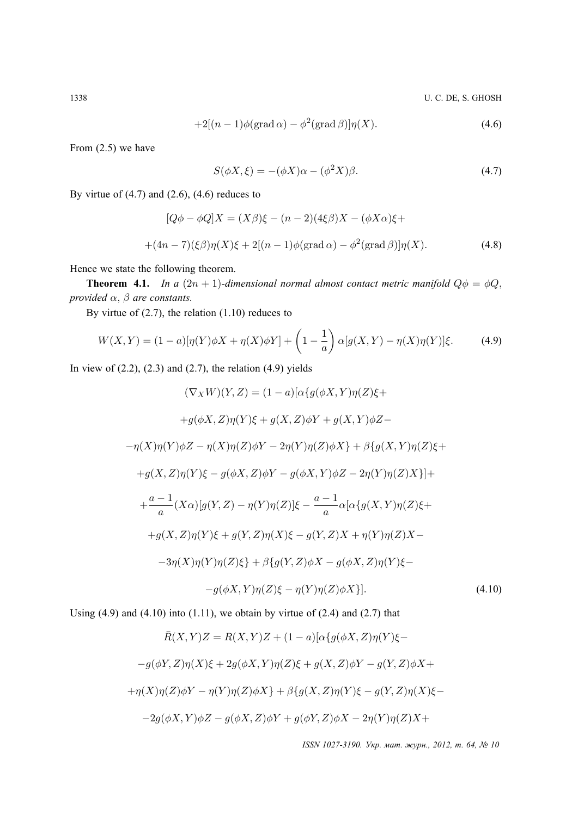1338 U. C. DE, S. GHOSH

$$
+2[(n-1)\phi(\text{grad }\alpha)-\phi^2(\text{grad }\beta)]\eta(X). \tag{4.6}
$$

From (2.5) we have

$$
S(\phi X, \xi) = -(\phi X)\alpha - (\phi^2 X)\beta.
$$
\n(4.7)

By virtue of  $(4.7)$  and  $(2.6)$ ,  $(4.6)$  reduces to

$$
[Q\phi - \phi Q]X = (X\beta)\xi - (n-2)(4\xi\beta)X - (\phi X\alpha)\xi ++(4n-7)(\xi\beta)\eta(X)\xi + 2[(n-1)\phi(\text{grad }\alpha) - \phi^2(\text{grad }\beta)]\eta(X).
$$
 (4.8)

Hence we state the following theorem.

**Theorem 4.1.** *In a*  $(2n + 1)$ *-dimensional normal almost contact metric manifold*  $Q\phi = \phi Q$ , *provided* α, β *are constants.*

By virtue of (2.7), the relation (1.10) reduces to

$$
W(X,Y) = (1-a)[\eta(Y)\phi X + \eta(X)\phi Y] + \left(1 - \frac{1}{a}\right)\alpha[g(X,Y) - \eta(X)\eta(Y)]\xi.
$$
 (4.9)

In view of  $(2.2)$ ,  $(2.3)$  and  $(2.7)$ , the relation  $(4.9)$  yields

$$
(\nabla_X W)(Y, Z) = (1 - a)[\alpha \{g(\phi X, Y)\eta(Z)\xi +
$$
  
+ $g(\phi X, Z)\eta(Y)\xi + g(X, Z)\phi Y + g(X, Y)\phi Z -$   
- $\eta(X)\eta(Y)\phi Z - \eta(X)\eta(Z)\phi Y - 2\eta(Y)\eta(Z)\phi X\} + \beta \{g(X, Y)\eta(Z)\xi +$   
+ $g(X, Z)\eta(Y)\xi - g(\phi X, Z)\phi Y - g(\phi X, Y)\phi Z - 2\eta(Y)\eta(Z)X\}]+$   
+ $\frac{a - 1}{a}(X\alpha)[g(Y, Z) - \eta(Y)\eta(Z)]\xi - \frac{a - 1}{a}\alpha[\alpha \{g(X, Y)\eta(Z)\xi +$   
+ $g(X, Z)\eta(Y)\xi + g(Y, Z)\eta(X)\xi - g(Y, Z)X + \eta(Y)\eta(Z)X -$   
- $3\eta(X)\eta(Y)\eta(Z)\xi\} + \beta \{g(Y, Z)\phi X - g(\phi X, Z)\eta(Y)\xi -$   
- $g(\phi X, Y)\eta(Z)\xi - \eta(Y)\eta(Z)\phi X\}].$  (4.10)

Using  $(4.9)$  and  $(4.10)$  into  $(1.11)$ , we obtain by virtue of  $(2.4)$  and  $(2.7)$  that

$$
\bar{R}(X,Y)Z = R(X,Y)Z + (1-a)[\alpha\{g(\phi X, Z)\eta(Y)\xi -
$$

$$
-g(\phi Y, Z)\eta(X)\xi + 2g(\phi X, Y)\eta(Z)\xi + g(X, Z)\phi Y - g(Y, Z)\phi X +
$$

$$
+ \eta(X)\eta(Z)\phi Y - \eta(Y)\eta(Z)\phi X\} + \beta\{g(X, Z)\eta(Y)\xi - g(Y, Z)\eta(X)\xi -
$$

$$
-2g(\phi X, Y)\phi Z - g(\phi X, Z)\phi Y + g(\phi Y, Z)\phi X - 2\eta(Y)\eta(Z)X +
$$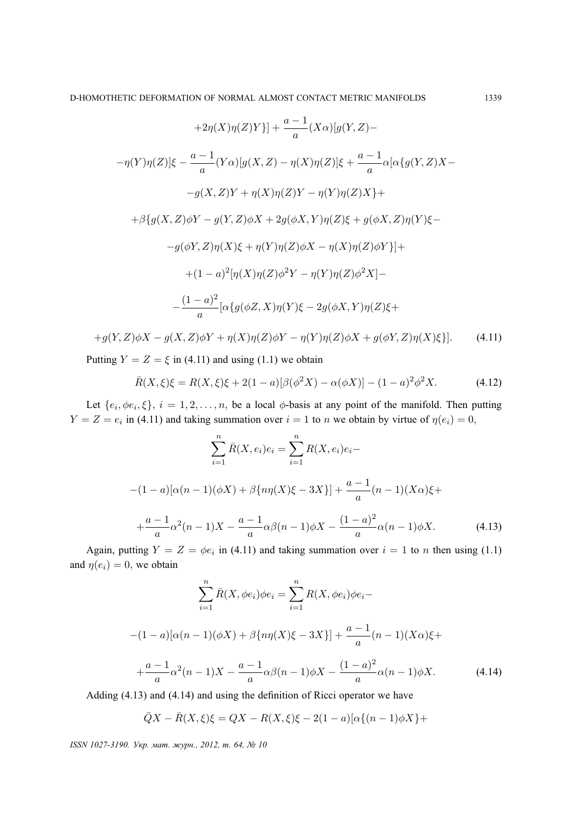$$
+2\eta(X)\eta(Z)Y\}]+\frac{a-1}{a}(X\alpha)[g(Y,Z)-
$$
  

$$
-\eta(Y)\eta(Z)]\xi-\frac{a-1}{a}(Y\alpha)[g(X,Z)-\eta(X)\eta(Z)]\xi+\frac{a-1}{a}\alpha[\alpha\{g(Y,Z)X-\frac{g(X,Z)Y+\eta(X)\eta(Z)Y-\eta(Y)\eta(Z)X\}}+
$$
  

$$
+\beta\{g(X,Z)\phi Y-g(Y,Z)\phi X+2g(\phi X,Y)\eta(Z)\xi+g(\phi X,Z)\eta(Y)\xi-\frac{g(X,Z)\eta(X)\xi+\eta(Y)\eta(Z)\phi X-\eta(X)\eta(Z)\phi Y\}}{g(X,Z)\eta(X)\xi+\eta(Y)\eta(Z)\phi^2Y-\eta(Y)\eta(Z)\phi^2X]-
$$
  

$$
-\frac{(1-a)^2}{a}[\alpha\{g(\phi Z,X)\eta(Y)\xi-2g(\phi X,Y)\eta(Z)\xi+g(X,Z)\eta(Z)\xi+\frac{g(X,Z)\eta(Z)\xi}{A}]
$$

$$
+g(Y,Z)\phi X - g(X,Z)\phi Y + \eta(X)\eta(Z)\phi Y - \eta(Y)\eta(Z)\phi X + g(\phi Y,Z)\eta(X)\xi\}].\tag{4.11}
$$

Putting  $Y = Z = \xi$  in (4.11) and using (1.1) we obtain

$$
\bar{R}(X,\xi)\xi = R(X,\xi)\xi + 2(1-a)[\beta(\phi^2 X) - \alpha(\phi X)] - (1-a)^2 \phi^2 X.
$$
 (4.12)

Let  $\{e_i, \phi e_i, \xi\}, i = 1, 2, \dots, n$ , be a local  $\phi$ -basis at any point of the manifold. Then putting  $Y = Z = e_i$  in (4.11) and taking summation over  $i = 1$  to n we obtain by virtue of  $\eta(e_i) = 0$ ,

$$
\sum_{i=1}^{n} \bar{R}(X, e_i)e_i = \sum_{i=1}^{n} R(X, e_i)e_i - (1 - a)[\alpha(n-1)(\phi X) + \beta\{n\eta(X)\xi - 3X\}] + \frac{a-1}{a}(n-1)(X\alpha)\xi + \frac{a-1}{a}\alpha^2(n-1)X - \frac{a-1}{a}\alpha\beta(n-1)\phi X - \frac{(1-a)^2}{a}\alpha(n-1)\phi X.
$$
 (4.13)

Again, putting  $Y = Z = \phi e_i$  in (4.11) and taking summation over  $i = 1$  to n then using (1.1) and  $\eta(e_i) = 0$ , we obtain

$$
\sum_{i=1}^{n} \bar{R}(X, \phi e_i) \phi e_i = \sum_{i=1}^{n} R(X, \phi e_i) \phi e_i -
$$
  
-(1 - a)[ $\alpha(n - 1)(\phi X) + \beta\{n\eta(X)\xi - 3X\}$ ] +  $\frac{a - 1}{a}(n - 1)(X\alpha)\xi +$   
+  $\frac{a - 1}{a}\alpha^2(n - 1)X - \frac{a - 1}{a}\alpha\beta(n - 1)\phi X - \frac{(1 - a)^2}{a}\alpha(n - 1)\phi X.$  (4.14)

Adding (4.13) and (4.14) and using the definition of Ricci operator we have

$$
\bar{Q}X - \bar{R}(X,\xi)\xi = QX - R(X,\xi)\xi - 2(1-a)[\alpha\{(n-1)\phi X\} +
$$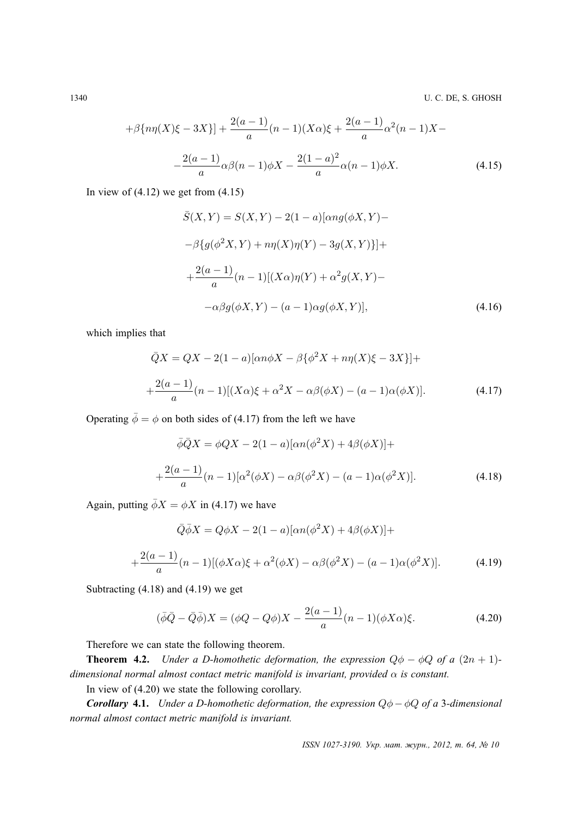1340 U. C. DE, S. GHOSH

$$
+\beta \{n\eta(X)\xi - 3X\}\] + \frac{2(a-1)}{a}(n-1)(X\alpha)\xi + \frac{2(a-1)}{a}\alpha^2(n-1)X -
$$

$$
-\frac{2(a-1)}{a}\alpha\beta(n-1)\phi X - \frac{2(1-a)^2}{a}\alpha(n-1)\phi X.
$$
(4.15)

In view of  $(4.12)$  we get from  $(4.15)$ 

$$
\bar{S}(X,Y) = S(X,Y) - 2(1-a)[\alpha ng(\phi X, Y) -
$$

$$
-\beta \{g(\phi^2 X, Y) + n\eta(X)\eta(Y) - 3g(X, Y)\} +
$$

$$
+\frac{2(a-1)}{a}(n-1)[(X\alpha)\eta(Y) + \alpha^2 g(X, Y) -
$$

$$
-\alpha\beta g(\phi X, Y) - (a-1)\alpha g(\phi X, Y)],
$$
\n(4.16)

which implies that

$$
\bar{Q}X = QX - 2(1 - a)[\alpha n\phi X - \beta {\phi}^2 X + n\eta(X)\xi - 3X}] +
$$
  
 
$$
+ \frac{2(a - 1)}{a} (n - 1)[(X\alpha)\xi + \alpha^2 X - \alpha\beta(\phi X) - (a - 1)\alpha(\phi X)].
$$
 (4.17)

Operating  $\bar{\phi} = \phi$  on both sides of (4.17) from the left we have

$$
\bar{\phi}\bar{Q}X = \phi QX - 2(1 - a)[\alpha n(\phi^2 X) + 4\beta(\phi X)] +
$$
  
 
$$
+ \frac{2(a - 1)}{a}(n - 1)[\alpha^2(\phi X) - \alpha\beta(\phi^2 X) - (a - 1)\alpha(\phi^2 X)].
$$
 (4.18)

Again, putting  $\bar{\phi}X = \phi X$  in (4.17) we have

$$
\bar{Q}\bar{\phi}X = Q\phi X - 2(1 - a)[\alpha n(\phi^2 X) + 4\beta(\phi X)] +
$$
  
 
$$
+ \frac{2(a - 1)}{a} (n - 1)[(\phi X\alpha)\xi + \alpha^2(\phi X) - \alpha\beta(\phi^2 X) - (a - 1)\alpha(\phi^2 X)].
$$
 (4.19)

Subtracting (4.18) and (4.19) we get

$$
(\bar{\phi}\bar{Q} - \bar{Q}\bar{\phi})X = (\phi Q - Q\phi)X - \frac{2(a-1)}{a}(n-1)(\phi X\alpha)\xi.
$$
 (4.20)

Therefore we can state the following theorem.

**Theorem 4.2.** *Under a D-homothetic deformation, the expression*  $Q\phi - \phi Q$  *of a*  $(2n + 1)$ *dimensional normal almost contact metric manifold is invariant, provided*  $\alpha$  *is constant.* 

In view of (4.20) we state the following corollary.

*Corollary* **4.1.** *Under a D-homothetic deformation, the expression* Qφ−φQ *of a* 3*-dimensional normal almost contact metric manifold is invariant.*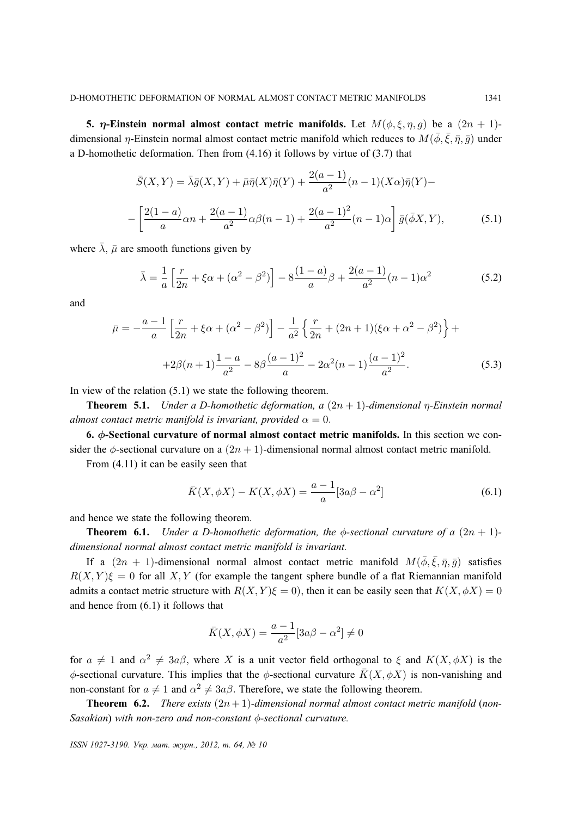**5.**  $\eta$ -Einstein normal almost contact metric manifolds. Let  $M(\phi, \xi, \eta, q)$  be a  $(2n + 1)$ dimensional  $\eta$ -Einstein normal almost contact metric manifold which reduces to  $M(\bar{\phi}, \bar{\xi}, \bar{\eta}, \bar{g})$  under a D-homothetic deformation. Then from (4.16) it follows by virtue of (3.7) that

$$
\bar{S}(X,Y) = \bar{\lambda}\bar{g}(X,Y) + \bar{\mu}\bar{\eta}(X)\bar{\eta}(Y) + \frac{2(a-1)}{a^2}(n-1)(X\alpha)\bar{\eta}(Y) -
$$

$$
-\left[\frac{2(1-a)}{a}\alpha n + \frac{2(a-1)}{a^2}\alpha\beta(n-1) + \frac{2(a-1)^2}{a^2}(n-1)\alpha\right]\bar{g}(\bar{\phi}X,Y),\tag{5.1}
$$

where  $\bar{\lambda}$ ,  $\bar{\mu}$  are smooth functions given by

$$
\bar{\lambda} = \frac{1}{a} \left[ \frac{r}{2n} + \xi \alpha + (\alpha^2 - \beta^2) \right] - 8 \frac{(1 - a)}{a} \beta + \frac{2(a - 1)}{a^2} (n - 1) \alpha^2 \tag{5.2}
$$

and

$$
\bar{\mu} = -\frac{a-1}{a} \left[ \frac{r}{2n} + \xi \alpha + (\alpha^2 - \beta^2) \right] - \frac{1}{a^2} \left\{ \frac{r}{2n} + (2n+1)(\xi \alpha + \alpha^2 - \beta^2) \right\} +
$$

$$
+2\beta(n+1)\frac{1-a}{a^2} - 8\beta\frac{(a-1)^2}{a} - 2\alpha^2(n-1)\frac{(a-1)^2}{a^2}.
$$
(5.3)

In view of the relation (5.1) we state the following theorem.

**Theorem 5.1.** *Under a D-homothetic deformation, a* (2n + 1)*-dimensional* η*-Einstein normal almost contact metric manifold is invariant, provided*  $\alpha = 0$ .

**6.** φ**-Sectional curvature of normal almost contact metric manifolds.** In this section we consider the  $\phi$ -sectional curvature on a  $(2n + 1)$ -dimensional normal almost contact metric manifold.

From (4.11) it can be easily seen that

$$
\bar{K}(X,\phi X) - K(X,\phi X) = \frac{a-1}{a} [3a\beta - \alpha^2]
$$
 (6.1)

and hence we state the following theorem.

**Theorem 6.1.** *Under a D-homothetic deformation, the*  $\phi$ -sectional curvature of a  $(2n + 1)$ *dimensional normal almost contact metric manifold is invariant.*

If a  $(2n + 1)$ -dimensional normal almost contact metric manifold  $M(\bar{\phi}, \bar{\xi}, \bar{\eta}, \bar{g})$  satisfies  $R(X, Y)\xi = 0$  for all X, Y (for example the tangent sphere bundle of a flat Riemannian manifold admits a contact metric structure with  $R(X, Y)\xi = 0$ , then it can be easily seen that  $K(X, \phi X) = 0$ and hence from (6.1) it follows that

$$
\bar{K}(X,\phi X) = \frac{a-1}{a^2} [3a\beta - \alpha^2] \neq 0
$$

for  $a \neq 1$  and  $\alpha^2 \neq 3a\beta$ , where X is a unit vector field orthogonal to  $\xi$  and  $K(X, \phi X)$  is the φ-sectional curvature. This implies that the φ-sectional curvature  $\bar{K}(X, \phi X)$  is non-vanishing and non-constant for  $a \neq 1$  and  $\alpha^2 \neq 3a\beta$ . Therefore, we state the following theorem.

**Theorem 6.2.** *There exists*  $(2n+1)$ *-dimensional normal almost contact metric manifold* (*non-Sasakian*) *with non-zero and non-constant* φ*-sectional curvature.*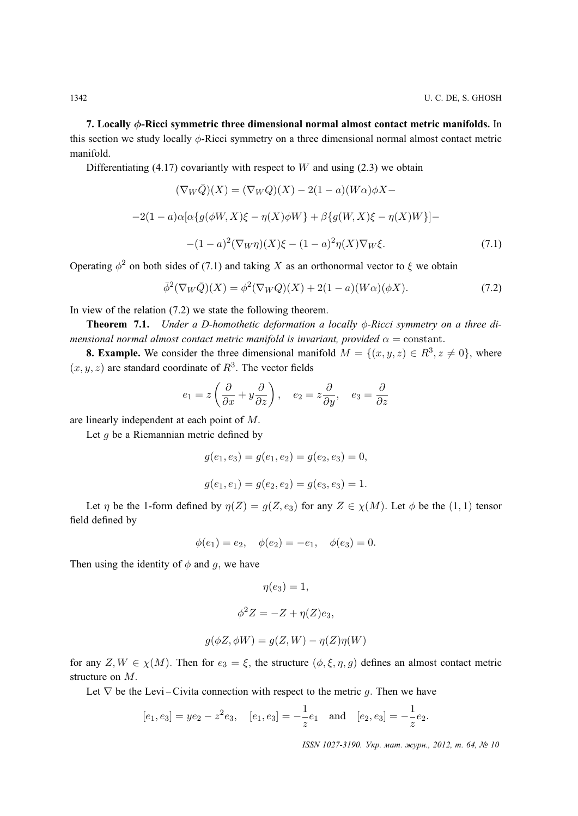**7. Locally** φ**-Ricci symmetric three dimensional normal almost contact metric manifolds.** In this section we study locally  $\phi$ -Ricci symmetry on a three dimensional normal almost contact metric manifold.

Differentiating (4.17) covariantly with respect to  $W$  and using (2.3) we obtain

$$
(\nabla_W \bar{Q})(X) = (\nabla_W Q)(X) - 2(1 - a)(W\alpha)\phi X -
$$

$$
-2(1 - a)\alpha[\alpha\{g(\phi W, X)\xi - \eta(X)\phi W\} + \beta\{g(W, X)\xi - \eta(X)W\}] -
$$

$$
-(1 - a)^2(\nabla_W \eta)(X)\xi - (1 - a)^2\eta(X)\nabla_W \xi.
$$
(7.1)

Operating  $\phi^2$  on both sides of (7.1) and taking X as an orthonormal vector to  $\xi$  we obtain

$$
\overline{\phi}^2(\nabla_W \overline{Q})(X) = \phi^2(\nabla_W Q)(X) + 2(1 - a)(W\alpha)(\phi X). \tag{7.2}
$$

In view of the relation (7.2) we state the following theorem.

**Theorem 7.1.** *Under a D-homothetic deformation a locally* φ*-Ricci symmetry on a three dimensional normal almost contact metric manifold is invariant, provided*  $\alpha$  = constant.

**8. Example.** We consider the three dimensional manifold  $M = \{(x, y, z) \in \mathbb{R}^3, z \neq 0\}$ , where  $(x, y, z)$  are standard coordinate of  $R<sup>3</sup>$ . The vector fields

$$
e_1 = z \left( \frac{\partial}{\partial x} + y \frac{\partial}{\partial z} \right), \quad e_2 = z \frac{\partial}{\partial y}, \quad e_3 = \frac{\partial}{\partial z}
$$

are linearly independent at each point of M.

Let  $g$  be a Riemannian metric defined by

$$
g(e_1, e_3) = g(e_1, e_2) = g(e_2, e_3) = 0,
$$
  

$$
g(e_1, e_1) = g(e_2, e_2) = g(e_3, e_3) = 1.
$$

Let  $\eta$  be the 1-form defined by  $\eta(Z) = g(Z, e_3)$  for any  $Z \in \chi(M)$ . Let  $\phi$  be the  $(1, 1)$  tensor field defined by

$$
\phi(e_1) = e_2, \quad \phi(e_2) = -e_1, \quad \phi(e_3) = 0.
$$

Then using the identity of  $\phi$  and q, we have

$$
\eta(e_3) = 1,
$$
  

$$
\phi^2 Z = -Z + \eta(Z)e_3,
$$

$$
g(\phi Z, \phi W) = g(Z, W) - \eta(Z)\eta(W)
$$

for any  $Z, W \in \chi(M)$ . Then for  $e_3 = \xi$ , the structure  $(\phi, \xi, \eta, g)$  defines an almost contact metric structure on M.

Let  $\nabla$  be the Levi – Civita connection with respect to the metric q. Then we have

$$
[e_1, e_3] = ye_2 - z^2 e_3
$$
,  $[e_1, e_3] = -\frac{1}{z} e_1$  and  $[e_2, e_3] = -\frac{1}{z} e_2$ .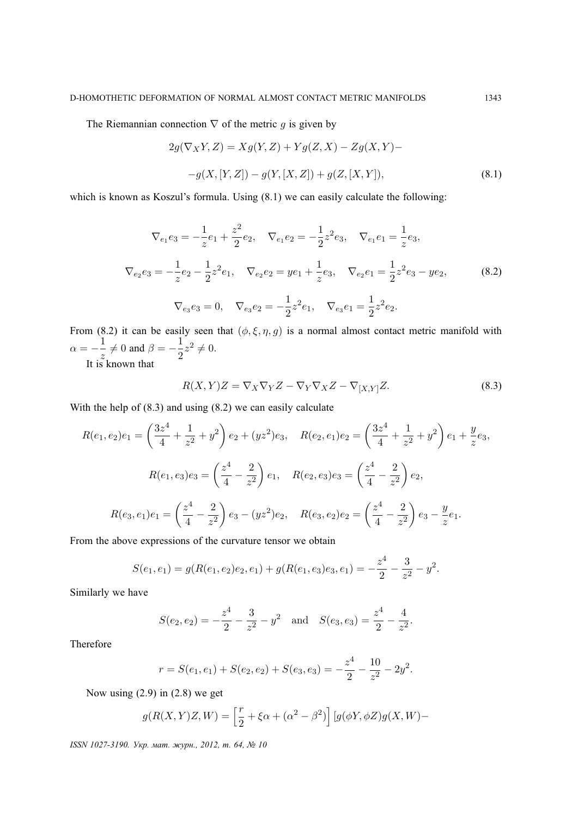The Riemannian connection  $\nabla$  of the metric g is given by

$$
2g(\nabla_X Y, Z) = Xg(Y, Z) + Yg(Z, X) - Zg(X, Y) --g(X, [Y, Z]) - g(Y, [X, Z]) + g(Z, [X, Y]),
$$
\n(8.1)

which is known as Koszul's formula. Using  $(8.1)$  we can easily calculate the following:

$$
\nabla_{e_1} e_3 = -\frac{1}{z} e_1 + \frac{z^2}{2} e_2, \quad \nabla_{e_1} e_2 = -\frac{1}{2} z^2 e_3, \quad \nabla_{e_1} e_1 = \frac{1}{z} e_3,
$$
\n
$$
\nabla_{e_2} e_3 = -\frac{1}{z} e_2 - \frac{1}{2} z^2 e_1, \quad \nabla_{e_2} e_2 = ye_1 + \frac{1}{z} e_3, \quad \nabla_{e_2} e_1 = \frac{1}{2} z^2 e_3 - ye_2,
$$
\n
$$
\nabla_{e_3} e_3 = 0, \quad \nabla_{e_3} e_2 = -\frac{1}{2} z^2 e_1, \quad \nabla_{e_3} e_1 = \frac{1}{2} z^2 e_2.
$$
\n(8.2)

From (8.2) it can be easily seen that  $(\phi, \xi, \eta, g)$  is a normal almost contact metric manifold with  $\alpha = -\frac{1}{\alpha}$  $\frac{1}{z} \neq 0$  and  $\beta = -\frac{1}{2}$  $\frac{1}{2}z^2 \neq 0.$ 

It is known that

$$
R(X,Y)Z = \nabla_X \nabla_Y Z - \nabla_Y \nabla_X Z - \nabla_{[X,Y]} Z.
$$
\n(8.3)

With the help of  $(8.3)$  and using  $(8.2)$  we can easily calculate

$$
R(e_1, e_2)e_1 = \left(\frac{3z^4}{4} + \frac{1}{z^2} + y^2\right)e_2 + (yz^2)e_3, \quad R(e_2, e_1)e_2 = \left(\frac{3z^4}{4} + \frac{1}{z^2} + y^2\right)e_1 + \frac{y}{z}e_3,
$$
  

$$
R(e_1, e_3)e_3 = \left(\frac{z^4}{4} - \frac{2}{z^2}\right)e_1, \quad R(e_2, e_3)e_3 = \left(\frac{z^4}{4} - \frac{2}{z^2}\right)e_2,
$$
  

$$
R(e_3, e_1)e_1 = \left(\frac{z^4}{4} - \frac{2}{z^2}\right)e_3 - (yz^2)e_2, \quad R(e_3, e_2)e_2 = \left(\frac{z^4}{4} - \frac{2}{z^2}\right)e_3 - \frac{y}{z}e_1.
$$

From the above expressions of the curvature tensor we obtain

$$
S(e_1, e_1) = g(R(e_1, e_2)e_2, e_1) + g(R(e_1, e_3)e_3, e_1) = -\frac{z^4}{2} - \frac{3}{z^2} - y^2.
$$

Similarly we have

$$
S(e_2, e_2) = -\frac{z^4}{2} - \frac{3}{z^2} - y^2
$$
 and  $S(e_3, e_3) = \frac{z^4}{2} - \frac{4}{z^2}$ .

Therefore

$$
r = S(e_1, e_1) + S(e_2, e_2) + S(e_3, e_3) = -\frac{z^4}{2} - \frac{10}{z^2} - 2y^2.
$$

Now using (2.9) in (2.8) we get

$$
g(R(X,Y)Z,W) = \left[\frac{r}{2} + \xi\alpha + (\alpha^2 - \beta^2)\right] \left[g(\phi Y, \phi Z)g(X,W) - g(X,W)\right]
$$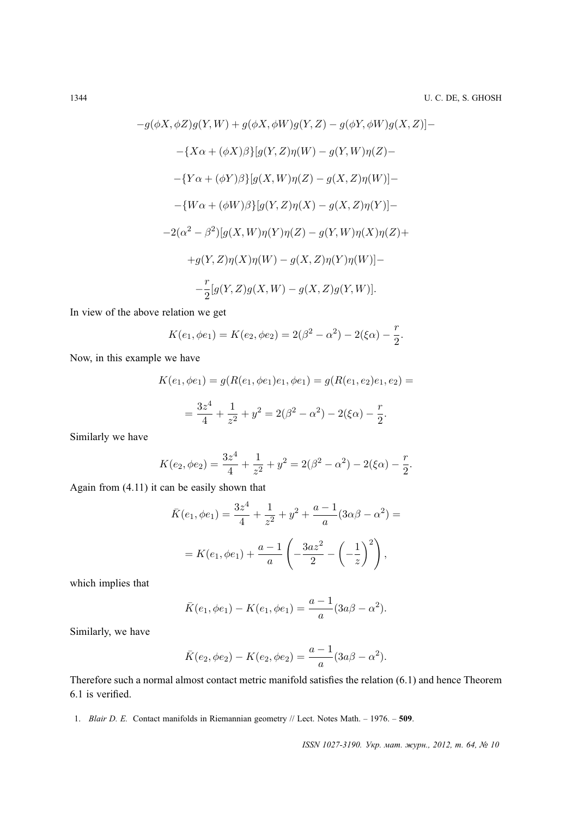$$
g(\phi X, \phi Z)g(Y, W) + g(\phi X, \phi W)g(Y, Z) - g(\phi Y, \phi W)g(X, Z)] -
$$
  
\n
$$
-{X\alpha + (\phi X)\beta}{g(Y, Z)\eta(W) - g(Y, W)\eta(Z) -}
$$
  
\n
$$
-{Y\alpha + (\phi Y)\beta}{g(X, W)\eta(Z) - g(X, Z)\eta(W)} -
$$
  
\n
$$
-{W\alpha + (\phi W)\beta}{g(Y, Z)\eta(X) - g(X, Z)\eta(Y)} -
$$
  
\n
$$
-2(\alpha^2 - \beta^2)[g(X, W)\eta(Y)\eta(Z) - g(Y, W)\eta(X)\eta(Z) +
$$
  
\n
$$
+g(Y, Z)\eta(X)\eta(W) - g(X, Z)\eta(Y)\eta(W) -
$$
  
\n
$$
-\frac{r}{2}[g(Y, Z)g(X, W) - g(X, Z)g(Y, W)].
$$

In view of the above relation we get

$$
K(e_1, \phi e_1) = K(e_2, \phi e_2) = 2(\beta^2 - \alpha^2) - 2(\xi \alpha) - \frac{r}{2}.
$$

Now, in this example we have

$$
K(e_1, \phi e_1) = g(R(e_1, \phi e_1)e_1, \phi e_1) = g(R(e_1, e_2)e_1, e_2) =
$$
  
=  $\frac{3z^4}{4} + \frac{1}{z^2} + y^2 = 2(\beta^2 - \alpha^2) - 2(\xi \alpha) - \frac{r}{2}.$ 

Similarly we have

$$
K(e_2, \phi e_2) = \frac{3z^4}{4} + \frac{1}{z^2} + y^2 = 2(\beta^2 - \alpha^2) - 2(\xi \alpha) - \frac{r}{2}.
$$

4

Again from (4.11) it can be easily shown that

$$
\bar{K}(e_1, \phi e_1) = \frac{3z^4}{4} + \frac{1}{z^2} + y^2 + \frac{a-1}{a}(3\alpha\beta - \alpha^2) =
$$

$$
= K(e_1, \phi e_1) + \frac{a-1}{a}\left(-\frac{3az^2}{2} - \left(-\frac{1}{z}\right)^2\right),
$$

which implies that

$$
\bar{K}(e_1, \phi e_1) - K(e_1, \phi e_1) = \frac{a-1}{a}(3a\beta - \alpha^2).
$$

Similarly, we have

$$
\bar{K}(e_2, \phi e_2) - K(e_2, \phi e_2) = \frac{a-1}{a}(3a\beta - \alpha^2).
$$

Therefore such a normal almost contact metric manifold satisfies the relation (6.1) and hence Theorem 6.1 is verified.

1. *Blair D. E.* Contact manifolds in Riemannian geometry // Lect. Notes Math. – 1976. – **509**.